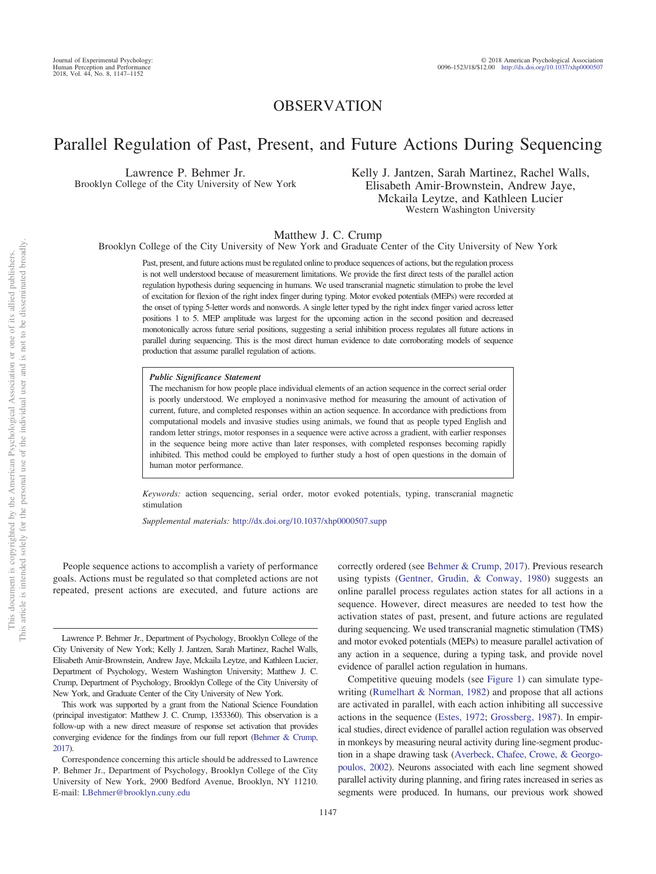# OBSERVATION

# Parallel Regulation of Past, Present, and Future Actions During Sequencing

Lawrence P. Behmer Jr. Brooklyn College of the City University of New York

# Kelly J. Jantzen, Sarah Martinez, Rachel Walls, Elisabeth Amir-Brownstein, Andrew Jaye, Mckaila Leytze, and Kathleen Lucier Western Washington University

Matthew J. C. Crump

Brooklyn College of the City University of New York and Graduate Center of the City University of New York

Past, present, and future actions must be regulated online to produce sequences of actions, but the regulation process is not well understood because of measurement limitations. We provide the first direct tests of the parallel action regulation hypothesis during sequencing in humans. We used transcranial magnetic stimulation to probe the level of excitation for flexion of the right index finger during typing. Motor evoked potentials (MEPs) were recorded at the onset of typing 5-letter words and nonwords. A single letter typed by the right index finger varied across letter positions 1 to 5. MEP amplitude was largest for the upcoming action in the second position and decreased monotonically across future serial positions, suggesting a serial inhibition process regulates all future actions in parallel during sequencing. This is the most direct human evidence to date corroborating models of sequence production that assume parallel regulation of actions.

#### *Public Significance Statement*

The mechanism for how people place individual elements of an action sequence in the correct serial order is poorly understood. We employed a noninvasive method for measuring the amount of activation of current, future, and completed responses within an action sequence. In accordance with predictions from computational models and invasive studies using animals, we found that as people typed English and random letter strings, motor responses in a sequence were active across a gradient, with earlier responses in the sequence being more active than later responses, with completed responses becoming rapidly inhibited. This method could be employed to further study a host of open questions in the domain of human motor performance.

*Keywords:* action sequencing, serial order, motor evoked potentials, typing, transcranial magnetic stimulation

*Supplemental materials:* http://dx.doi.org/10.1037/xhp0000507.supp

People sequence actions to accomplish a variety of performance goals. Actions must be regulated so that completed actions are not repeated, present actions are executed, and future actions are correctly ordered (see [Behmer & Crump, 2017\)](#page-4-0). Previous research using typists [\(Gentner, Grudin, & Conway, 1980\)](#page-5-0) suggests an online parallel process regulates action states for all actions in a sequence. However, direct measures are needed to test how the activation states of past, present, and future actions are regulated during sequencing. We used transcranial magnetic stimulation (TMS) and motor evoked potentials (MEPs) to measure parallel activation of any action in a sequence, during a typing task, and provide novel evidence of parallel action regulation in humans.

Competitive queuing models (see [Figure 1\)](#page-1-0) can simulate typewriting [\(Rumelhart & Norman, 1982\)](#page-5-1) and propose that all actions are activated in parallel, with each action inhibiting all successive actions in the sequence [\(Estes, 1972;](#page-4-1) [Grossberg, 1987\)](#page-5-2). In empirical studies, direct evidence of parallel action regulation was observed in monkeys by measuring neural activity during line-segment production in a shape drawing task [\(Averbeck, Chafee, Crowe, & Georgo](#page-4-2)[poulos, 2002\)](#page-4-2). Neurons associated with each line segment showed parallel activity during planning, and firing rates increased in series as segments were produced. In humans, our previous work showed

Lawrence P. Behmer Jr., Department of Psychology, Brooklyn College of the City University of New York; Kelly J. Jantzen, Sarah Martinez, Rachel Walls, Elisabeth Amir-Brownstein, Andrew Jaye, Mckaila Leytze, and Kathleen Lucier, Department of Psychology, Western Washington University; Matthew J. C. Crump, Department of Psychology, Brooklyn College of the City University of New York, and Graduate Center of the City University of New York.

This work was supported by a grant from the National Science Foundation (principal investigator: Matthew J. C. Crump, 1353360). This observation is a follow-up with a new direct measure of response set activation that provides converging evidence for the findings from our full report [\(Behmer & Crump,](#page-4-0) [2017\)](#page-4-0).

Correspondence concerning this article should be addressed to Lawrence P. Behmer Jr., Department of Psychology, Brooklyn College of the City University of New York, 2900 Bedford Avenue, Brooklyn, NY 11210. E-mail: [LBehmer@brooklyn.cuny.edu](mailto:LBehmer@brooklyn.cuny.edu)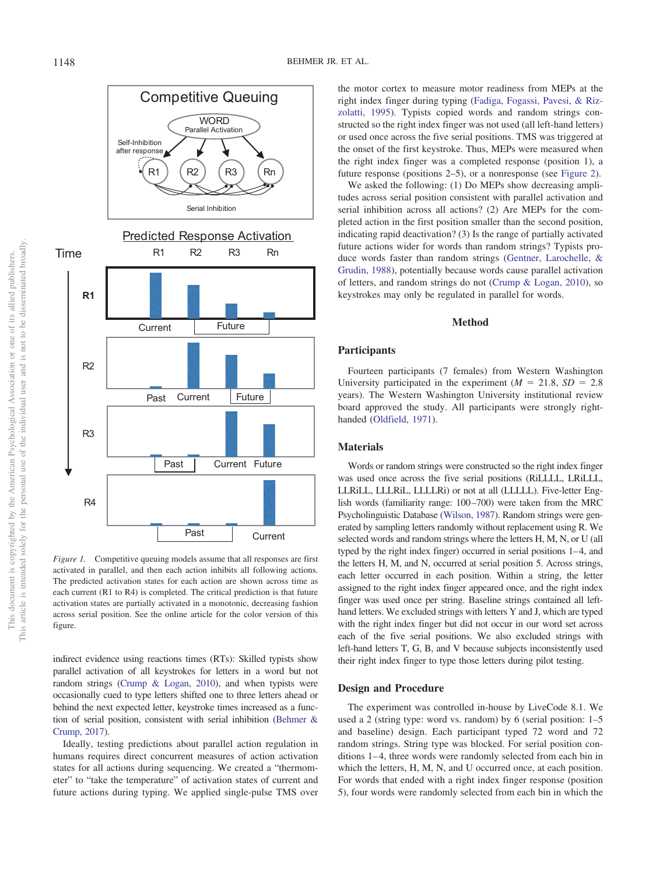

<span id="page-1-0"></span>*Figure 1.* Competitive queuing models assume that all responses are first activated in parallel, and then each action inhibits all following actions. The predicted activation states for each action are shown across time as each current (R1 to R4) is completed. The critical prediction is that future activation states are partially activated in a monotonic, decreasing fashion across serial position. See the online article for the color version of this figure.

indirect evidence using reactions times (RTs): Skilled typists show parallel activation of all keystrokes for letters in a word but not random strings [\(Crump & Logan, 2010\)](#page-4-3), and when typists were occasionally cued to type letters shifted one to three letters ahead or behind the next expected letter, keystroke times increased as a function of serial position, consistent with serial inhibition [\(Behmer &](#page-4-0) [Crump, 2017\)](#page-4-0).

Ideally, testing predictions about parallel action regulation in humans requires direct concurrent measures of action activation states for all actions during sequencing. We created a "thermometer" to "take the temperature" of activation states of current and future actions during typing. We applied single-pulse TMS over the motor cortex to measure motor readiness from MEPs at the right index finger during typing [\(Fadiga, Fogassi, Pavesi, & Riz](#page-5-3)[zolatti, 1995\)](#page-5-3). Typists copied words and random strings constructed so the right index finger was not used (all left-hand letters) or used once across the five serial positions. TMS was triggered at the onset of the first keystroke. Thus, MEPs were measured when the right index finger was a completed response (position 1), a future response (positions 2–5), or a nonresponse (see [Figure 2\)](#page-2-0).

We asked the following: (1) Do MEPs show decreasing amplitudes across serial position consistent with parallel activation and serial inhibition across all actions? (2) Are MEPs for the completed action in the first position smaller than the second position, indicating rapid deactivation? (3) Is the range of partially activated future actions wider for words than random strings? Typists produce words faster than random strings [\(Gentner, Larochelle, &](#page-5-4) [Grudin, 1988\)](#page-5-4), potentially because words cause parallel activation of letters, and random strings do not [\(Crump & Logan, 2010\)](#page-4-3), so keystrokes may only be regulated in parallel for words.

# **Method**

# **Participants**

Fourteen participants (7 females) from Western Washington University participated in the experiment  $(M = 21.8, SD = 2.8)$ years). The Western Washington University institutional review board approved the study. All participants were strongly righthanded [\(Oldfield, 1971\)](#page-5-5).

# **Materials**

Words or random strings were constructed so the right index finger was used once across the five serial positions (RiLLLL, LRiLLL, LLRiLL, LLLRiL, LLLLRi) or not at all (LLLLL). Five-letter English words (familiarity range: 100-700) were taken from the MRC Psycholinguistic Database [\(Wilson, 1987\)](#page-5-6). Random strings were generated by sampling letters randomly without replacement using R. We selected words and random strings where the letters H, M, N, or U (all typed by the right index finger) occurred in serial positions 1-4, and the letters H, M, and N, occurred at serial position 5. Across strings, each letter occurred in each position. Within a string, the letter assigned to the right index finger appeared once, and the right index finger was used once per string. Baseline strings contained all lefthand letters. We excluded strings with letters Y and J, which are typed with the right index finger but did not occur in our word set across each of the five serial positions. We also excluded strings with left-hand letters T, G, B, and V because subjects inconsistently used their right index finger to type those letters during pilot testing.

# **Design and Procedure**

The experiment was controlled in-house by LiveCode 8.1. We used a 2 (string type: word vs. random) by 6 (serial position: 1–5 and baseline) design. Each participant typed 72 word and 72 random strings. String type was blocked. For serial position conditions 1–4, three words were randomly selected from each bin in which the letters, H, M, N, and U occurred once, at each position. For words that ended with a right index finger response (position 5), four words were randomly selected from each bin in which the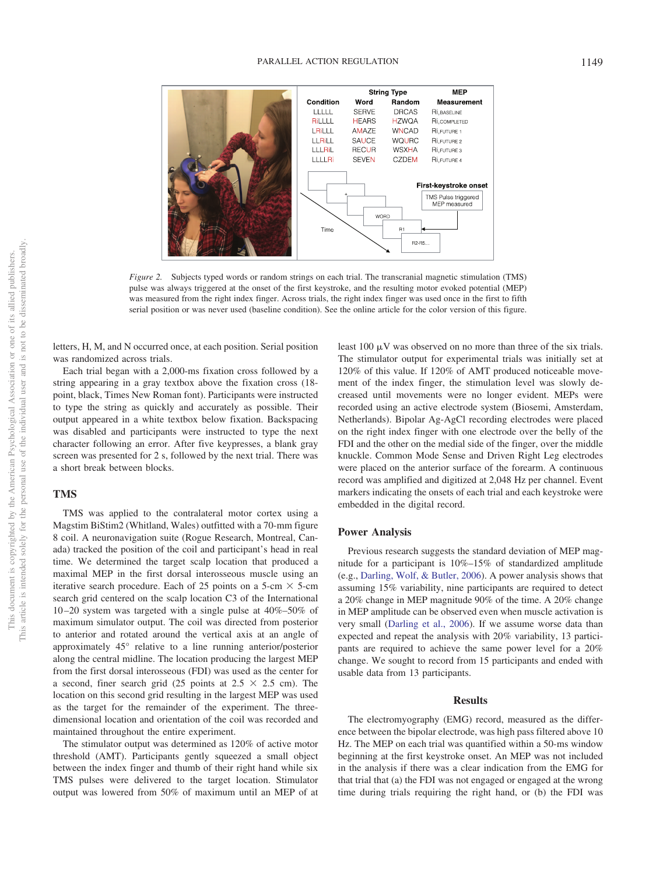

<span id="page-2-0"></span>*Figure 2.* Subjects typed words or random strings on each trial. The transcranial magnetic stimulation (TMS) pulse was always triggered at the onset of the first keystroke, and the resulting motor evoked potential (MEP) was measured from the right index finger. Across trials, the right index finger was used once in the first to fifth serial position or was never used (baseline condition). See the online article for the color version of this figure.

letters, H, M, and N occurred once, at each position. Serial position was randomized across trials.

Each trial began with a 2,000-ms fixation cross followed by a string appearing in a gray textbox above the fixation cross (18 point, black, Times New Roman font). Participants were instructed to type the string as quickly and accurately as possible. Their output appeared in a white textbox below fixation. Backspacing was disabled and participants were instructed to type the next character following an error. After five keypresses, a blank gray screen was presented for 2 s, followed by the next trial. There was a short break between blocks.

# **TMS**

TMS was applied to the contralateral motor cortex using a Magstim BiStim2 (Whitland, Wales) outfitted with a 70-mm figure 8 coil. A neuronavigation suite (Rogue Research, Montreal, Canada) tracked the position of the coil and participant's head in real time. We determined the target scalp location that produced a maximal MEP in the first dorsal interosseous muscle using an iterative search procedure. Each of 25 points on a 5-cm  $\times$  5-cm search grid centered on the scalp location C3 of the International 10 –20 system was targeted with a single pulse at 40%–50% of maximum simulator output. The coil was directed from posterior to anterior and rotated around the vertical axis at an angle of approximately 45° relative to a line running anterior/posterior along the central midline. The location producing the largest MEP from the first dorsal interosseous (FDI) was used as the center for a second, finer search grid (25 points at  $2.5 \times 2.5$  cm). The location on this second grid resulting in the largest MEP was used as the target for the remainder of the experiment. The threedimensional location and orientation of the coil was recorded and maintained throughout the entire experiment.

The stimulator output was determined as 120% of active motor threshold (AMT). Participants gently squeezed a small object between the index finger and thumb of their right hand while six TMS pulses were delivered to the target location. Stimulator output was lowered from 50% of maximum until an MEP of at

least 100  $\mu$ V was observed on no more than three of the six trials. The stimulator output for experimental trials was initially set at 120% of this value. If 120% of AMT produced noticeable movement of the index finger, the stimulation level was slowly decreased until movements were no longer evident. MEPs were recorded using an active electrode system (Biosemi, Amsterdam, Netherlands). Bipolar Ag-AgCl recording electrodes were placed on the right index finger with one electrode over the belly of the FDI and the other on the medial side of the finger, over the middle knuckle. Common Mode Sense and Driven Right Leg electrodes were placed on the anterior surface of the forearm. A continuous record was amplified and digitized at 2,048 Hz per channel. Event markers indicating the onsets of each trial and each keystroke were embedded in the digital record.

## **Power Analysis**

Previous research suggests the standard deviation of MEP magnitude for a participant is 10%–15% of standardized amplitude (e.g., [Darling, Wolf, & Butler, 2006\)](#page-4-4). A power analysis shows that assuming 15% variability, nine participants are required to detect a 20% change in MEP magnitude 90% of the time. A 20% change in MEP amplitude can be observed even when muscle activation is very small [\(Darling et al., 2006\)](#page-4-4). If we assume worse data than expected and repeat the analysis with 20% variability, 13 participants are required to achieve the same power level for a 20% change. We sought to record from 15 participants and ended with usable data from 13 participants.

## **Results**

The electromyography (EMG) record, measured as the difference between the bipolar electrode, was high pass filtered above 10 Hz. The MEP on each trial was quantified within a 50-ms window beginning at the first keystroke onset. An MEP was not included in the analysis if there was a clear indication from the EMG for that trial that (a) the FDI was not engaged or engaged at the wrong time during trials requiring the right hand, or (b) the FDI was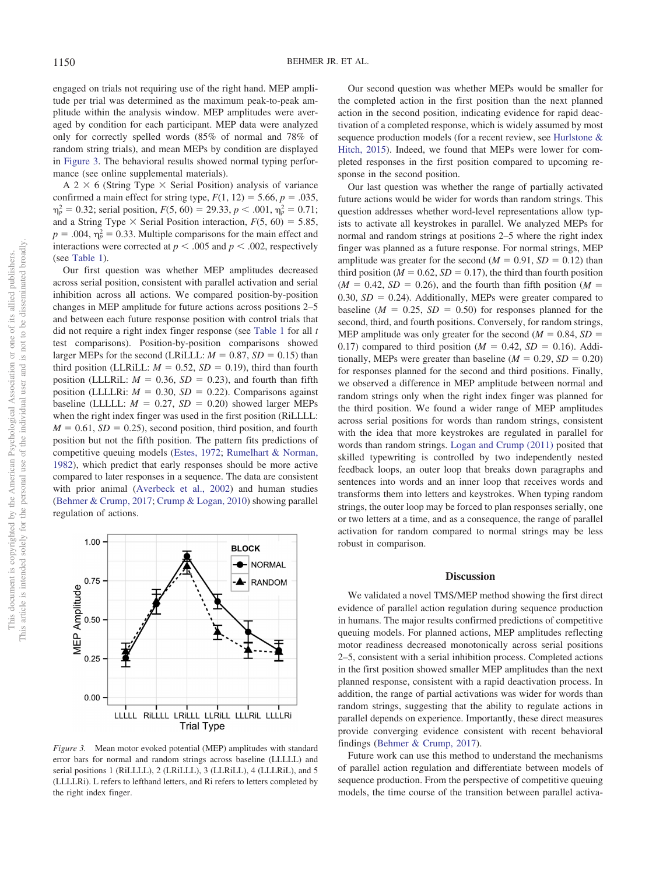engaged on trials not requiring use of the right hand. MEP amplitude per trial was determined as the maximum peak-to-peak amplitude within the analysis window. MEP amplitudes were averaged by condition for each participant. MEP data were analyzed only for correctly spelled words (85% of normal and 78% of random string trials), and mean MEPs by condition are displayed in [Figure 3.](#page-3-0) The behavioral results showed normal typing performance (see online supplemental materials).

A 2  $\times$  6 (String Type  $\times$  Serial Position) analysis of variance confirmed a main effect for string type,  $F(1, 12) = 5.66$ ,  $p = .035$ ,  $p_p^2 = 0.32$ ; serial position,  $F(5, 60) = 29.33$ ,  $p < .001$ ,  $p_p^2 = 0.71$ ; and a String Type  $\times$  Serial Position interaction,  $F(5, 60) = 5.85$ ,  $p = 0.004$ ,  $\eta_p^2 = 0.33$ . Multiple comparisons for the main effect and interactions were corrected at  $p < .005$  and  $p < .002$ , respectively (see [Table 1\)](#page-4-5).

Our first question was whether MEP amplitudes decreased across serial position, consistent with parallel activation and serial inhibition across all actions. We compared position-by-position changes in MEP amplitude for future actions across positions 2–5 and between each future response position with control trials that did not require a right index finger response (see [Table 1](#page-4-5) for all *t* test comparisons). Position-by-position comparisons showed larger MEPs for the second (LRiLLL:  $M = 0.87$ ,  $SD = 0.15$ ) than third position (LLRiLL:  $M = 0.52$ ,  $SD = 0.19$ ), third than fourth position (LLLRiL:  $M = 0.36$ ,  $SD = 0.23$ ), and fourth than fifth position (LLLLRi:  $M = 0.30$ ,  $SD = 0.22$ ). Comparisons against baseline (LLLLL:  $M = 0.27$ ,  $SD = 0.20$ ) showed larger MEPs when the right index finger was used in the first position (RiLLLL:  $M = 0.61$ ,  $SD = 0.25$ ), second position, third position, and fourth position but not the fifth position. The pattern fits predictions of competitive queuing models [\(Estes, 1972;](#page-4-1) [Rumelhart & Norman,](#page-5-1) [1982\)](#page-5-1), which predict that early responses should be more active compared to later responses in a sequence. The data are consistent with prior animal [\(Averbeck et al., 2002\)](#page-4-2) and human studies [\(Behmer & Crump, 2017;](#page-4-0) [Crump & Logan, 2010\)](#page-4-3) showing parallel regulation of actions.



<span id="page-3-0"></span>*Figure 3.* Mean motor evoked potential (MEP) amplitudes with standard error bars for normal and random strings across baseline (LLLLL) and serial positions 1 (RiLLLL), 2 (LRiLLL), 3 (LLRiLL), 4 (LLLRiL), and 5 (LLLLRi). L refers to lefthand letters, and Ri refers to letters completed by the right index finger.

Our second question was whether MEPs would be smaller for the completed action in the first position than the next planned action in the second position, indicating evidence for rapid deactivation of a completed response, which is widely assumed by most sequence production models (for a recent review, see [Hurlstone &](#page-5-7) [Hitch, 2015\)](#page-5-7). Indeed, we found that MEPs were lower for completed responses in the first position compared to upcoming response in the second position.

Our last question was whether the range of partially activated future actions would be wider for words than random strings. This question addresses whether word-level representations allow typists to activate all keystrokes in parallel. We analyzed MEPs for normal and random strings at positions 2–5 where the right index finger was planned as a future response. For normal strings, MEP amplitude was greater for the second  $(M = 0.91, SD = 0.12)$  than third position ( $M = 0.62$ ,  $SD = 0.17$ ), the third than fourth position  $(M = 0.42, SD = 0.26)$ , and the fourth than fifth position  $(M = 0.42, SD = 0.26)$  $0.30, SD = 0.24$ ). Additionally, MEPs were greater compared to baseline  $(M = 0.25, SD = 0.50)$  for responses planned for the second, third, and fourth positions. Conversely, for random strings, MEP amplitude was only greater for the second  $(M = 0.84, SD =$ 0.17) compared to third position ( $M = 0.42$ ,  $SD = 0.16$ ). Additionally, MEPs were greater than baseline  $(M = 0.29, SD = 0.20)$ for responses planned for the second and third positions. Finally, we observed a difference in MEP amplitude between normal and random strings only when the right index finger was planned for the third position. We found a wider range of MEP amplitudes across serial positions for words than random strings, consistent with the idea that more keystrokes are regulated in parallel for words than random strings. [Logan and Crump \(2011\)](#page-5-8) posited that skilled typewriting is controlled by two independently nested feedback loops, an outer loop that breaks down paragraphs and sentences into words and an inner loop that receives words and transforms them into letters and keystrokes. When typing random strings, the outer loop may be forced to plan responses serially, one or two letters at a time, and as a consequence, the range of parallel activation for random compared to normal strings may be less robust in comparison.

# **Discussion**

We validated a novel TMS/MEP method showing the first direct evidence of parallel action regulation during sequence production in humans. The major results confirmed predictions of competitive queuing models. For planned actions, MEP amplitudes reflecting motor readiness decreased monotonically across serial positions 2–5, consistent with a serial inhibition process. Completed actions in the first position showed smaller MEP amplitudes than the next planned response, consistent with a rapid deactivation process. In addition, the range of partial activations was wider for words than random strings, suggesting that the ability to regulate actions in parallel depends on experience. Importantly, these direct measures provide converging evidence consistent with recent behavioral findings [\(Behmer & Crump, 2017\)](#page-4-0).

Future work can use this method to understand the mechanisms of parallel action regulation and differentiate between models of sequence production. From the perspective of competitive queuing models, the time course of the transition between parallel activa-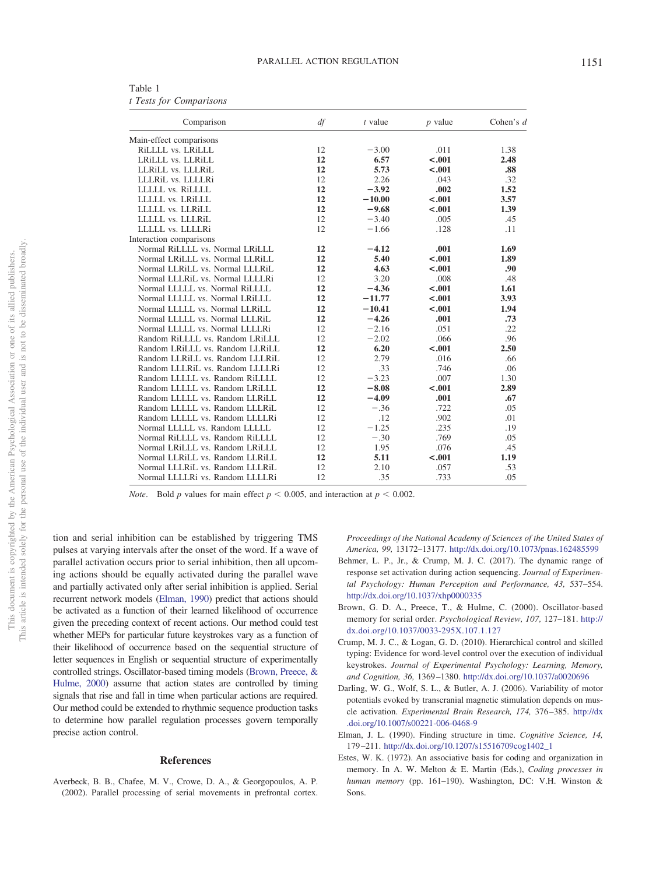<span id="page-4-5"></span>

| Table 1 |                         |
|---------|-------------------------|
|         | t Tests for Comparisons |

| Comparison                      | df | t value  | $p$ value | Cohen's $d$ |
|---------------------------------|----|----------|-----------|-------------|
| Main-effect comparisons         |    |          |           |             |
| RILLLL vs. LRILLL               | 12 | $-3.00$  | .011      | 1.38        |
| LRILLL vs. LLRILL               | 12 | 6.57     | $-.001$   | 2.48        |
| LLRILL vs. LLLRIL               | 12 | 5.73     | $-.001$   | .88         |
| LLLRiL vs. LLLLRi               | 12 | 2.26     | .043      | .32         |
| LLLLL vs. RiLLLL                | 12 | $-3.92$  | .002      | 1.52        |
| LLLLL vs. LRILLL                | 12 | $-10.00$ | $-.001$   | 3.57        |
| LLLLL vs. LLRILL                | 12 | $-9.68$  | $-.001$   | 1.39        |
| LLLLL vs. LLLRiL                | 12 | $-3.40$  | .005      | .45         |
| LLLLL vs. LLLLRi                | 12 | $-1.66$  | .128      | .11         |
| Interaction comparisons         |    |          |           |             |
| Normal RiLLLL vs. Normal LRiLLL | 12 | $-4.12$  | .001      | 1.69        |
| Normal LRILLL vs. Normal LLRILL | 12 | 5.40     | $-.001$   | 1.89        |
| Normal LLRILL vs. Normal LLLRIL | 12 | 4.63     | $-.001$   | .90         |
| Normal LLLRiL vs. Normal LLLLRi | 12 | 3.20     | .008      | .48         |
| Normal LLLLL vs. Normal RiLLLL  | 12 | $-4.36$  | $-.001$   | 1.61        |
| Normal LLLLL vs. Normal LRiLLL  | 12 | $-11.77$ | $-.001$   | 3.93        |
| Normal LLLLL vs. Normal LLRILL  | 12 | $-10.41$ | $-.001$   | 1.94        |
| Normal LLLLL vs. Normal LLLRiL  | 12 | $-4.26$  | .001      | .73         |
| Normal LLLLL vs. Normal LLLLRi  | 12 | $-2.16$  | .051      | .22         |
| Random RiLLLL vs. Random LRILLL | 12 | $-2.02$  | .066      | .96         |
| Random LRiLLL vs. Random LLRILL | 12 | 6.20     | $-.001$   | 2.50        |
| Random LLRILL vs. Random LLLRIL | 12 | 2.79     | .016      | .66         |
| Random LLLRiL vs. Random LLLLRi | 12 | .33      | .746      | .06         |
| Random LLLLL vs. Random RiLLLL  | 12 | $-3.23$  | .007      | 1.30        |
| Random LLLLL vs. Random LRILLL  | 12 | $-8.08$  | $-.001$   | 2.89        |
| Random LLLLL vs. Random LLRiLL  | 12 | $-4.09$  | .001      | .67         |
| Random LLLLL vs. Random LLLRiL  | 12 | $-.36$   | .722      | .05         |
| Random LLLLL vs. Random LLLLRi  | 12 | .12      | .902      | .01         |
| Normal LLLLL vs. Random LLLLL   | 12 | $-1.25$  | .235      | .19         |
| Normal RiLLLL vs. Random RiLLLL | 12 | $-.30$   | .769      | .05         |
| Normal LRILLL vs. Random LRILLL | 12 | 1.95     | .076      | .45         |
| Normal LLRILL vs. Random LLRILL | 12 | 5.11     | $-.001$   | 1.19        |
| Normal LLLRiL vs. Random LLLRiL | 12 | 2.10     | .057      | .53         |
| Normal LLLLRi vs. Random LLLLRi | 12 | .35      | .733      | .05         |

*Note.* Bold *p* values for main effect  $p < 0.005$ , and interaction at  $p < 0.002$ .

tion and serial inhibition can be established by triggering TMS pulses at varying intervals after the onset of the word. If a wave of parallel activation occurs prior to serial inhibition, then all upcoming actions should be equally activated during the parallel wave and partially activated only after serial inhibition is applied. Serial recurrent network models [\(Elman, 1990\)](#page-4-6) predict that actions should be activated as a function of their learned likelihood of occurrence given the preceding context of recent actions. Our method could test whether MEPs for particular future keystrokes vary as a function of their likelihood of occurrence based on the sequential structure of letter sequences in English or sequential structure of experimentally controlled strings. Oscillator-based timing models [\(Brown, Preece, &](#page-4-7) [Hulme, 2000\)](#page-4-7) assume that action states are controlled by timing signals that rise and fall in time when particular actions are required. Our method could be extended to rhythmic sequence production tasks to determine how parallel regulation processes govern temporally precise action control.

### **References**

<span id="page-4-2"></span>Averbeck, B. B., Chafee, M. V., Crowe, D. A., & Georgopoulos, A. P. (2002). Parallel processing of serial movements in prefrontal cortex. *Proceedings of the National Academy of Sciences of the United States of America, 99,* 13172–13177. <http://dx.doi.org/10.1073/pnas.162485599>

- <span id="page-4-0"></span>Behmer, L. P., Jr., & Crump, M. J. C. (2017). The dynamic range of response set activation during action sequencing. *Journal of Experimental Psychology: Human Perception and Performance, 43,* 537–554. <http://dx.doi.org/10.1037/xhp0000335>
- <span id="page-4-7"></span>Brown, G. D. A., Preece, T., & Hulme, C. (2000). Oscillator-based memory for serial order. *Psychological Review, 107,* 127–181. [http://](http://dx.doi.org/10.1037/0033-295X.107.1.127) [dx.doi.org/10.1037/0033-295X.107.1.127](http://dx.doi.org/10.1037/0033-295X.107.1.127)
- <span id="page-4-3"></span>Crump, M. J. C., & Logan, G. D. (2010). Hierarchical control and skilled typing: Evidence for word-level control over the execution of individual keystrokes. *Journal of Experimental Psychology: Learning, Memory, and Cognition, 36,* 1369 –1380. <http://dx.doi.org/10.1037/a0020696>
- <span id="page-4-4"></span>Darling, W. G., Wolf, S. L., & Butler, A. J. (2006). Variability of motor potentials evoked by transcranial magnetic stimulation depends on muscle activation. *Experimental Brain Research, 174,* 376 –385. [http://dx](http://dx.doi.org/10.1007/s00221-006-0468-9) [.doi.org/10.1007/s00221-006-0468-9](http://dx.doi.org/10.1007/s00221-006-0468-9)
- <span id="page-4-6"></span>Elman, J. L. (1990). Finding structure in time. *Cognitive Science, 14,* 179 –211. [http://dx.doi.org/10.1207/s15516709cog1402\\_1](http://dx.doi.org/10.1207/s15516709cog1402_1)
- <span id="page-4-1"></span>Estes, W. K. (1972). An associative basis for coding and organization in memory. In A. W. Melton & E. Martin (Eds.), *Coding processes in human memory* (pp. 161–190). Washington, DC: V.H. Winston & Sons.